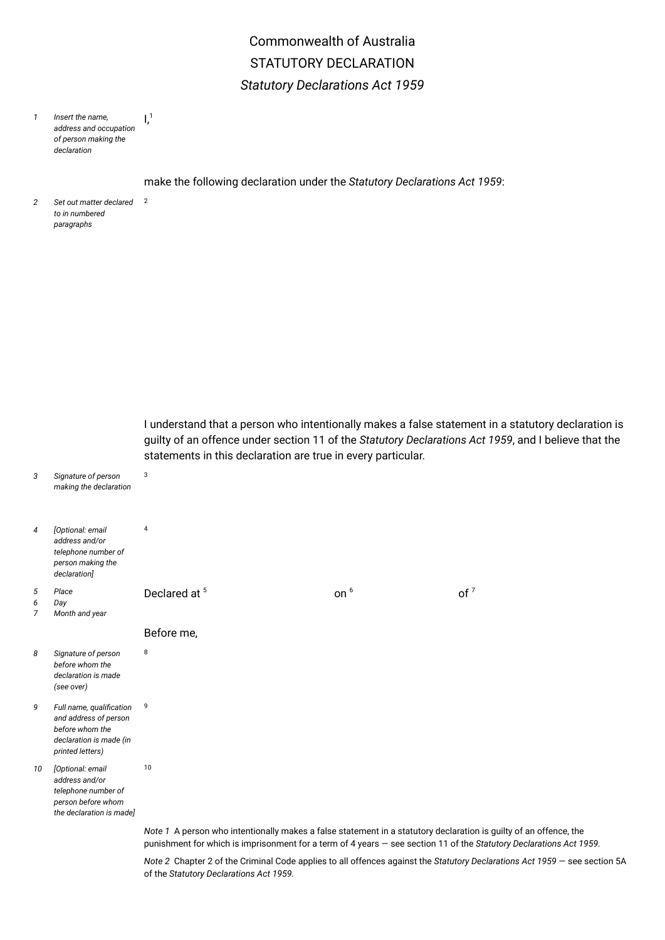## Commonwealth of Australia STATUTORY DECLARATION *Statutory Declarations Act 1959*

*1 Insert the name, address and occupation of person making the declaration*  $l<sup>1</sup>$ 

make the following declaration under the *Statutory Declarations Act 1959*:

*2 Set out matter declared to in numbered paragraphs* 2

*5 6 7*

guilty of an offence under section 11 of the *Statutory Declarations Act 1959*, and I believe that the statements in this declaration are true in every particular. *3 Signature of person making the declaration*  $\overline{3}$ *4 [Optional: email address and/or telephone number of person making the declaration]* 4 *Place Day Month and year* Declared at <sup>5</sup> on<sup>6</sup>  $of<sup>7</sup>$ Before me, *8 Signature of person before whom the declaration is made (see over)* 8 *9 Full name, qualifcation and address of person before whom the declaration is made (in printed letters)* 9 *10 [Optional: email address and/or telephone number of person before whom the declaration is made]* 10 *Note 1* A person who intentionally makes a false statement in a statutory declaration is guilty of an offence, the punishment for which is imprisonment for a term of 4 years — see section 11 of the *Statutory Declarations Act 1959.*

*Note 2* Chapter 2 of the Criminal Code applies to all offences against the *Statutory Declarations Act 1959* — see section 5A of the *Statutory Declarations Act 1959.*

I understand that a person who intentionally makes a false statement in a statutory declaration is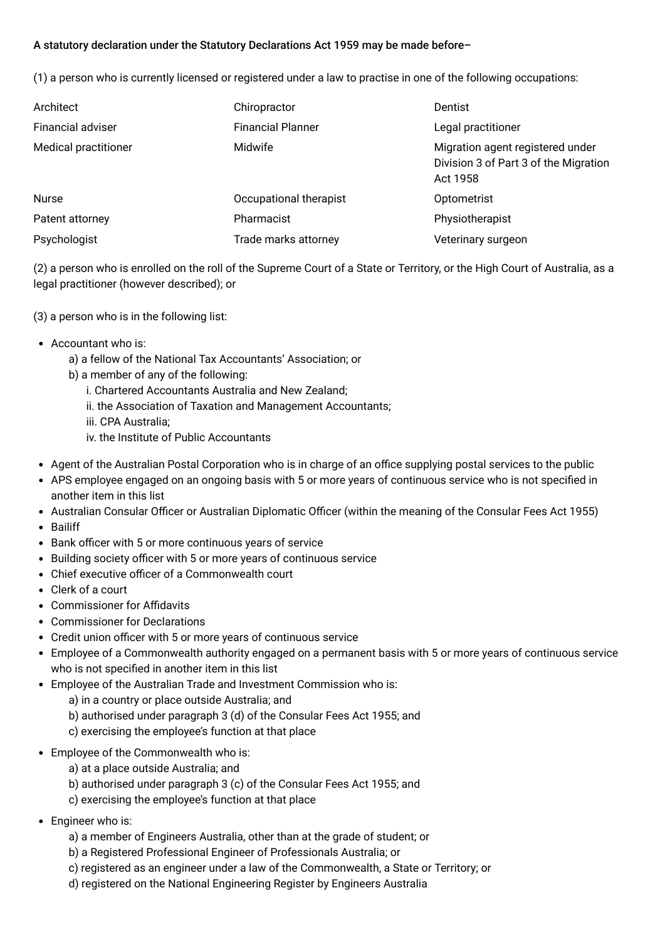## A statutory declaration under the Statutory Declarations Act 1959 may be made before–

(1) a person who is currently licensed or registered under a law to practise in one of the following occupations:

| Architect            | Chiropractor             | Dentist                                                                               |
|----------------------|--------------------------|---------------------------------------------------------------------------------------|
| Financial adviser    | <b>Financial Planner</b> | Legal practitioner                                                                    |
| Medical practitioner | <b>Midwife</b>           | Migration agent registered under<br>Division 3 of Part 3 of the Migration<br>Act 1958 |
| <b>Nurse</b>         | Occupational therapist   | Optometrist                                                                           |
| Patent attorney      | Pharmacist               | Physiotherapist                                                                       |
| Psychologist         | Trade marks attorney     | Veterinary surgeon                                                                    |

(2) a person who is enrolled on the roll of the Supreme Court of a State or Territory, or the High Court of Australia, as a legal practitioner (however described); or

- (3) a person who is in the following list:
- Accountant who is:
	- a) a fellow of the National Tax Accountants' Association; or
	- b) a member of any of the following:
		- i. Chartered Accountants Australia and New Zealand;
		- ii. the Association of Taxation and Management Accountants;
		- iii. CPA Australia;
		- iv. the Institute of Public Accountants
- Agent of the Australian Postal Corporation who is in charge of an office supplying postal services to the public
- APS employee engaged on an ongoing basis with 5 or more years of continuous service who is not specifed in another item in this list
- Australian Consular Officer or Australian Diplomatic Officer (within the meaning of the Consular Fees Act 1955)
- Bailiff
- Bank officer with 5 or more continuous years of service
- Building society officer with 5 or more years of continuous service
- $\bullet$  Chief executive officer of a Commonwealth court
- Clerk of a court
- Commissioner for Affidavits
- Commissioner for Declarations
- Credit union officer with 5 or more years of continuous service
- Employee of a Commonwealth authority engaged on a permanent basis with 5 or more years of continuous service who is not specifed in another item in this list
- Employee of the Australian Trade and Investment Commission who is:
	- a) in a country or place outside Australia; and
	- b) authorised under paragraph 3 (d) of the Consular Fees Act 1955; and
	- c) exercising the employee's function at that place
- Employee of the Commonwealth who is:
	- a) at a place outside Australia; and
	- b) authorised under paragraph 3 (c) of the Consular Fees Act 1955; and
	- c) exercising the employee's function at that place
- Engineer who is:
	- a) a member of Engineers Australia, other than at the grade of student; or
	- b) a Registered Professional Engineer of Professionals Australia; or
	- c) registered as an engineer under a law of the Commonwealth, a State or Territory; or
	- d) registered on the National Engineering Register by Engineers Australia